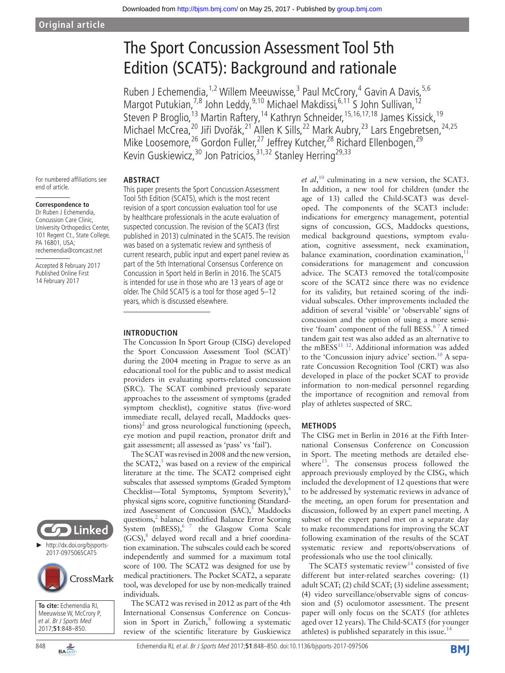# The Sport Concussion Assessment Tool 5th Edition (SCAT5): Background and rationale

Ruben J Echemendia, <sup>1,2</sup> Willem Meeuwisse, <sup>3</sup> Paul McCrory, <sup>4</sup> Gavin A Davis, <sup>5,6</sup> Margot Putukian,<sup>7,8</sup> John Leddy,<sup>9,10</sup> Michael Makdissi,<sup>6,11</sup> S John Sullivan,<sup>12</sup> Steven P Broglio,<sup>13</sup> Martin Raftery,<sup>14</sup> Kathryn Schneider,<sup>15,16,17,18</sup> James Kissick,<sup>19</sup> Michael McCrea,<sup>20</sup> Jiří Dvořák,<sup>21</sup> Allen K Sills,<sup>22</sup> Mark Aubry,<sup>23</sup> Lars Engebretsen,<sup>24,25</sup> Mike Loosemore,<sup>26</sup> Gordon Fuller,<sup>27</sup> Jeffrey Kutcher,<sup>28</sup> Richard Ellenbogen,<sup>29</sup> Kevin Guskiewicz,<sup>30</sup> Jon Patricios,<sup>31,32</sup> Stanley Herring<sup>29,33</sup>

For numbered affiliations see end of article.

#### **Correspondence to**

Dr Ruben J Echemendia, Concussion Care Clinic, University Orthopedics Center, 101 Regent Ct., State College, PA 16801, USA; rechemendia@comcast.net

Accepted 8 February 2017 Published Online First 14 February 2017





**To cite:** Echemendia RJ, Meeuwisse W, McCrory P, et al. Br J Sports Med 2017;**51**:848–850.

**Abstract**

This paper presents the Sport Concussion Assessment Tool 5th Edition (SCAT5), which is the most recent revision of a sport concussion evaluation tool for use by healthcare professionals in the acute evaluation of suspected concussion. The revision of the SCAT3 (first published in 2013) culminated in the SCAT5. The revision was based on a systematic review and synthesis of current research, public input and expert panel review as part of the 5th International Consensus Conference on Concussion in Sport held in Berlin in 2016. The SCAT5 is intended for use in those who are 13 years of age or older. The Child SCAT5 is a tool for those aged 5–12 years, which is discussed elsewhere.

#### **Introduction**

The Concussion In Sport Group (CISG) developed the Sport Concussion Assessment Tool (SCAT)<sup>[1](#page-2-0)</sup> during the 2004 meeting in Prague to serve as an educational tool for the public and to assist medical providers in evaluating sports-related concussion (SRC). The SCAT combined previously separate approaches to the assessment of symptoms (graded symptom checklist), cognitive status (five-word immediate recall, delayed recall, Maddocks ques- $\text{tions}$ )<sup>[2](#page-2-1)</sup> and gross neurological functioning (speech, eye motion and pupil reaction, pronator drift and gait assessment; all assessed as 'pass' vs 'fail').

The SCAT was revised in 2008 and the new version, the SCAT2, $3$  was based on a review of the empirical literature at the time. The SCAT2 comprised eight subscales that assessed symptoms (Graded Symptom Checklist—Total Symptoms, Symptom Severity),<sup>4</sup> physical signs score, cognitive functioning (Standardized Assessment of Concussion  $(SAC)_2^5$  Maddocks questions,<sup>2</sup> balance (modified Balance Error Scoring System  $(mBESS)$ ,  $\frac{6}{7}$  the Glasgow Coma Scale (GCS),<sup>[8](#page-2-6)</sup> delayed word recall and a brief coordination examination. The subscales could each be scored independently and summed for a maximum total score of 100. The SCAT2 was designed for use by medical practitioners. The Pocket SCAT2, a separate tool, was developed for use by non-medically trained individuals.

The SCAT2 was revised in 2012 as part of the 4th International Consensus Conference on Concussion in Sport in Zurich, $9$  following a systematic review of the scientific literature by Guskiewicz

*et al*, [10](#page-2-8) culminating in a new version, the SCAT3. In addition, a new tool for children (under the age of 13) called the Child-SCAT3 was developed. The components of the SCAT3 include: indications for emergency management, potential signs of concussion, GCS, Maddocks questions, medical background questions, symptom evaluation, cognitive assessment, neck examination, balance examination, coordination examination, $11$ considerations for management and concussion advice. The SCAT3 removed the total/composite score of the SCAT2 since there was no evidence for its validity, but retained scoring of the individual subscales. Other improvements included the addition of several 'visible' or 'observable' signs of concussion and the option of using a more sensitive 'foam' component of the full BESS.<sup>67</sup> A timed tandem gait test was also added as an alternative to the mBESS $^{11}$ <sup>12</sup>. Additional information was added to the 'Concussion injury advice' section.<sup>[10](#page-2-8)</sup> A separate Concussion Recognition Tool (CRT) was also developed in place of the pocket SCAT to provide information to non-medical personnel regarding the importance of recognition and removal from play of athletes suspected of SRC.

#### **Methods**

The CISG met in Berlin in 2016 at the Fifth International Consensus Conference on Concussion in Sport. The meeting methods are detailed elsewhere $13$ . The consensus process followed the approach previously employed by the CISG, which included the development of 12 questions that were to be addressed by systematic reviews in advance of the meeting, an open forum for presentation and discussion, followed by an expert panel meeting. A subset of the expert panel met on a separate day to make recommendations for improving the SCAT following examination of the results of the SCAT systematic review and reports/observations of professionals who use the tool clinically.

The SCAT5 systematic review<sup>[14](#page-2-12)</sup> consisted of five different but inter-related searches covering: (1) adult SCAT; (2) child SCAT; (3) sideline assessment; (4) video surveillance/observable signs of concussion and (5) oculomotor assessment. The present paper will only focus on the SCAT5 (for athletes aged over 12 years). The Child-SCAT5 (for younger athletes) is published separately in this issue.<sup>[14](#page-2-12)</sup>

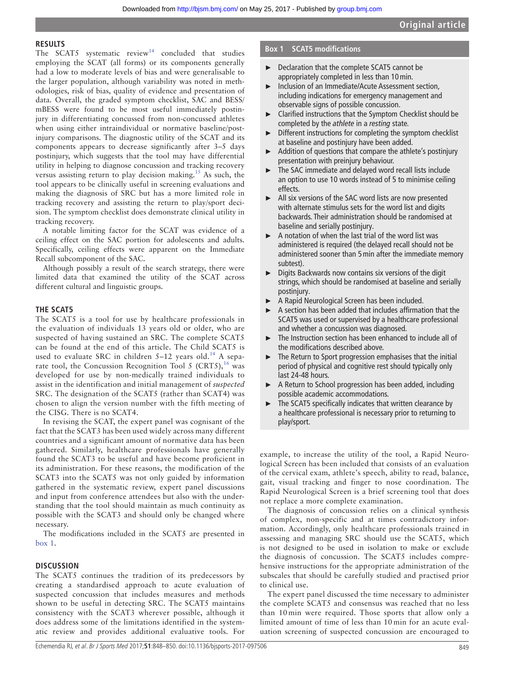#### **Results**

The SCAT5 systematic  $review^{14}$  $review^{14}$  $review^{14}$  concluded that studies employing the SCAT (all forms) or its components generally had a low to moderate levels of bias and were generalisable to the larger population, although variability was noted in methodologies, risk of bias, quality of evidence and presentation of data. Overall, the graded symptom checklist, SAC and BESS/ mBESS were found to be most useful immediately postinjury in differentiating concussed from non-concussed athletes when using either intraindividual or normative baseline/postinjury comparisons. The diagnostic utility of the SCAT and its components appears to decrease significantly after 3–5 days postinjury, which suggests that the tool may have differential utility in helping to diagnose concussion and tracking recovery versus assisting return to play decision making.<sup>15</sup> As such, the tool appears to be clinically useful in screening evaluations and making the diagnosis of SRC but has a more limited role in tracking recovery and assisting the return to play/sport decision. The symptom checklist does demonstrate clinical utility in tracking recovery.

A notable limiting factor for the SCAT was evidence of a ceiling effect on the SAC portion for adolescents and adults. Specifically, ceiling effects were apparent on the Immediate Recall subcomponent of the SAC.

Although possibly a result of the search strategy, there were limited data that examined the utility of the SCAT across different cultural and linguistic groups.

### **The SCAT5**

The SCAT5 is a tool for use by healthcare professionals in the evaluation of individuals 13 years old or older, who are suspected of having sustained an SRC. The complete SCAT5 can be found at the end of this article. The Child SCAT5 is used to evaluate SRC in children  $5-12$  years old.<sup>[14](#page-2-12)</sup> A separate tool, the Concussion Recognition Tool 5 (CRT5),  $^{16}$  was developed for use by non-medically trained individuals to assist in the identification and initial management of *suspected* SRC. The designation of the SCAT5 (rather than SCAT4) was chosen to align the version number with the fifth meeting of the CISG. There is no SCAT4.

In revising the SCAT, the expert panel was cognisant of the fact that the SCAT3 has been used widely across many different countries and a significant amount of normative data has been gathered. Similarly, healthcare professionals have generally found the SCAT3 to be useful and have become proficient in its administration. For these reasons, the modification of the SCAT3 into the SCAT5 was not only guided by information gathered in the systematic review, expert panel discussions and input from conference attendees but also with the understanding that the tool should maintain as much continuity as possible with the SCAT3 and should only be changed where necessary.

The modifications included in the SCAT5 are presented in [box](#page-1-0) 1.

#### **Discussion**

The SCAT5 continues the tradition of its predecessors by creating a standardised approach to acute evaluation of suspected concussion that includes measures and methods shown to be useful in detecting SRC. The SCAT5 maintains consistency with the SCAT3 wherever possible, although it does address some of the limitations identified in the systematic review and provides additional evaluative tools. For

#### **Box 1 SCAT5 modifications**

- <span id="page-1-0"></span>► Declaration that the complete SCAT5 cannot be appropriately completed in less than 10min.
- ► Inclusion of an Immediate/Acute Assessment section, including indications for emergency management and observable signs of possible concussion.
- Clarified instructions that the Symptom Checklist should be completed by the *athlete* in a *resting* state.
- ► Different instructions for completing the symptom checklist at baseline and postinjury have been added.
- ► Addition of questions that compare the athlete's postinjury presentation with preinjury behaviour.
- ► The SAC immediate and delayed word recall lists include an option to use 10 words instead of 5 to minimise ceiling effects.
- ► All six versions of the SAC word lists are now presented with alternate stimulus sets for the word list and digits backwards. Their administration should be randomised at baseline and serially postinjury.
- ► A notation of when the last trial of the word list was administered is required (the delayed recall should not be administered sooner than 5min after the immediate memory subtest).
- ► Digits Backwards now contains six versions of the digit strings, which should be randomised at baseline and serially postinjury.
- ► A Rapid Neurological Screen has been included.
- A section has been added that includes affirmation that the SCAT5 was used or supervised by a healthcare professional and whether a concussion was diagnosed.
- ► The Instruction section has been enhanced to include all of the modifications described above.
- ► The Return to Sport progression emphasises that the initial period of physical and cognitive rest should typically only last 24-48 hours.
- ► A Return to School progression has been added, including possible academic accommodations.
- ► The SCAT5 specifically indicates that written clearance by a healthcare professional is necessary prior to returning to play/sport.

example, to increase the utility of the tool, a Rapid Neurological Screen has been included that consists of an evaluation of the cervical exam, athlete's speech, ability to read, balance, gait, visual tracking and finger to nose coordination. The Rapid Neurological Screen is a brief screening tool that does not replace a more complete examination.

The diagnosis of concussion relies on a clinical synthesis of complex, non-specific and at times contradictory information. Accordingly, only healthcare professionals trained in assessing and managing SRC should use the SCAT5, which is not designed to be used in isolation to make or exclude the diagnosis of concussion. The SCAT5 includes comprehensive instructions for the appropriate administration of the subscales that should be carefully studied and practised prior to clinical use.

The expert panel discussed the time necessary to administer the complete SCAT5 and consensus was reached that no less than 10 min were required. Those sports that allow only a limited amount of time of less than 10 min for an acute evaluation screening of suspected concussion are encouraged to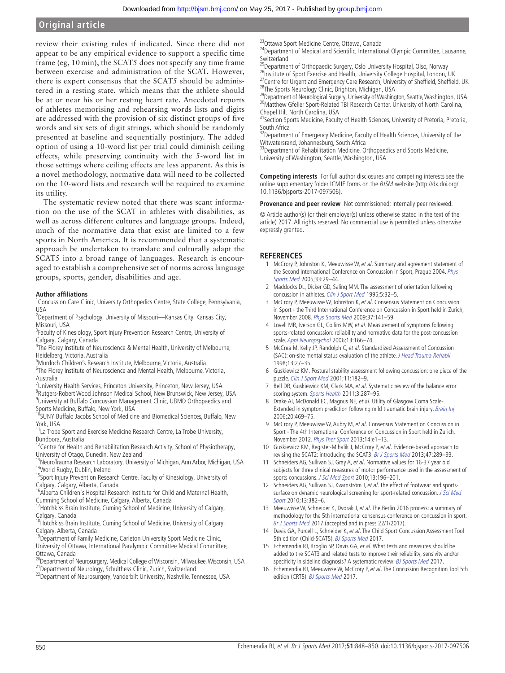## **Original article**

review their existing rules if indicated. Since there did not appear to be any empirical evidence to support a specific time frame (eg, 10 min), the SCAT5 does not specify any time frame between exercise and administration of the SCAT. However, there is expert consensus that the SCAT5 should be administered in a resting state, which means that the athlete should be at or near his or her resting heart rate. Anecdotal reports of athletes memorising and rehearsing words lists and digits are addressed with the provision of six distinct groups of five words and six sets of digit strings, which should be randomly presented at baseline and sequentially postinjury. The added option of using a 10-word list per trial could diminish ceiling effects, while preserving continuity with the 5-word list in those settings where ceiling effects are less apparent. As this is a novel methodology, normative data will need to be collected on the 10-word lists and research will be required to examine its utility.

The systematic review noted that there was scant information on the use of the SCAT in athletes with disabilities, as well as across different cultures and language groups. Indeed, much of the normative data that exist are limited to a few sports in North America. It is recommended that a systematic approach be undertaken to translate and culturally adapt the SCAT5 into a broad range of languages. Research is encouraged to establish a comprehensive set of norms across language groups, sports, gender, disabilities and age.

#### **Author affiliations**

<sup>1</sup> Concussion Care Clinic, University Orthopedics Centre, State College, Pennsylvania, USA

- <sup>2</sup>Department of Psychology, University of Missouri—Kansas City, Kansas City, Missouri, USA
- <sup>3</sup>Faculty of Kinesiology, Sport Injury Prevention Research Centre, University of Calgary, Calgary, Canada

<sup>4</sup>The Florey Institute of Neuroscience & Mental Health, University of Melbourne, Heidelberg, Victoria, Australia

5 Murdoch Children's Research Institute, Melbourne, Victoria, Australia

<sup>6</sup>The Florey Institute of Neuroscience and Mental Health, Melbourne, Victoria, Australia

<sup>7</sup>University Health Services, Princeton University, Princeton, New Jersey, USA <sup>8</sup>Rutgers-Robert Wood Johnson Medical School, New Brunswick, New Jersey, USA 9 University at Buffalo Concussion Management Clinic, UBMD Orthopaedics and

Sports Medicine, Buffalo, New York, USA<br><sup>10</sup>SUNY Buffalo Jacobs School of Medicine and Biomedical Sciences, Buffalo, New York, USA

<sup>11</sup> La Trobe Sport and Exercise Medicine Research Centre, La Trobe University, Bundoora, Australia

<sup>12</sup>Centre for Health and Rehabilitation Research Activity, School of Physiotherapy,

University of Otago, Dunedin, New Zealand<br><sup>13</sup>NeuroTrauma Research Laboratory, University of Michigan, Ann Arbor, Michigan, USA 14World Rugby, Dublin, Ireland

<sup>15</sup>Sport Injury Prevention Research Centre, Faculty of Kinesiology, University of Calgary, Calgary, Alberta, Canada

16Alberta Children's Hospital Research Institute for Child and Maternal Health, Cumming School of Medicine, Calgary, Alberta, Canada

<sup>17</sup> Hotchkiss Brain Institute, Cuming School of Medicine, University of Calgary,

Calgary, Canada 18Hotchkiss Brain Institute, Cuming School of Medicine, University of Calgary,

Calgary, Alberta, Canada<br><sup>19</sup>Department of Family Medicine, Carleton University Sport Medicine Clinic, University of Ottawa, International Paralympic Committee Medical Committee, Ottawa, Canada

 $^{20}$ Department of Neurosurgery, Medical College of Wisconsin, Milwaukee, Wisconsin, USA <sup>21</sup>Department of Neurology, Schulthess Clinic, Zurich, Switzerland

<sup>22</sup>Department of Neurosurgery, Vanderbilt University, Nashville, Tennessee, USA

23Ottawa Sport Medicine Centre, Ottawa, Canada

<sup>24</sup>Department of Medical and Scientific, International Olympic Committee, Lausanne, **Switzerland** 

<sup>25</sup>Department of Orthopaedic Surgery, Oslo University Hospital, Olso, Norway

<sup>26</sup>Institute of Sport Exercise and Health, University College Hospital, London, UK <sup>27</sup>Centre for Urgent and Emergency Care Research, University of Sheffield, Sheffield, UK <sup>28</sup>The Sports Neurology Clinic, Brighton, Michigan, USA

<sup>29</sup>Department of Neurological Surgery, University of Washington, Seattle, Washington, USA 30 Matthew Gfeller Sport-Related TBI Research Center, University of North Carolina,

Chapel Hill, North Carolina, USA 31Section Sports Medicine, Faculty of Health Sciences, University of Pretoria, Pretoria,

South Africa <sup>32</sup>Department of Emergency Medicine, Faculty of Health Sciences, University of the Witwatersrand, Johannesburg, South Africa

33 Department of Rehabilitation Medicine, Orthopaedics and Sports Medicine, University of Washington, Seattle, Washington, USA

**Competing interests** For full author disclosures and competing interests see the online supplementary folder ICMJE forms on the BJSM website (http://dx.doi.org/ 10.1136/bjsports-2017-097506).

**Provenance and peer review** Not commissioned; internally peer reviewed.

© Article author(s) (or their employer(s) unless otherwise stated in the text of the article) 2017. All rights reserved. No commercial use is permitted unless otherwise expressly granted.

#### **References**

- <span id="page-2-0"></span>1 McCrory P, Johnston K, Meeuwisse W, et al. Summary and agreement statement of the Second International Conference on Concussion in Sport, Prague 2004. [Phys](http://dx.doi.org/10.3810/psm.2005.04.76)  [Sports Med](http://dx.doi.org/10.3810/psm.2005.04.76) 2005;33:29–44.
- <span id="page-2-1"></span>2 Maddocks DL, Dicker GD, Saling MM. The assessment of orientation following concussion in athletes. [Clin J Sport Med](http://dx.doi.org/10.1097/00042752-199501000-00006) 1995;5:32-5.
- <span id="page-2-2"></span>3 McCrory P, Meeuwisse W, Johnston K, et al. Consensus Statement on Concussion in Sport - the Third International Conference on Concussion in Sport held in Zurich, November 2008. Phys [Sports](http://dx.doi.org/10.3810/psm.2009.06.1721) Med 2009;37:141–59.
- <span id="page-2-3"></span>4 Lovell MR, Iverson GL, Collins MW, et al. Measurement of symptoms following sports-related concussion: reliability and normative data for the post-concussion scale. [Appl Neuropsychol](http://dx.doi.org/10.1207/s15324826an1303_4) 2006;13:166–74.
- <span id="page-2-4"></span>5 McCrea M, Kelly JP, Randolph C, et al. Standardized Assessment of Concussion (SAC): on-site mental status evaluation of the athlete. [J Head Trauma Rehabil](http://dx.doi.org/10.1097/00001199-199804000-00005) 1998;13:27–35.
- <span id="page-2-5"></span>6 Guskiewicz KM. Postural stability assessment following concussion: one piece of the puzzle. [Clin J Sport Med](http://dx.doi.org/10.1097/00042752-200107000-00009) 2001;11:182–9.
- 7 Bell DR, Guskiewicz KM, Clark MA, et al. Systematic review of the balance error scoring system. [Sports Health](http://dx.doi.org/10.1177/1941738111403122) 2011;3:287–95.
- <span id="page-2-6"></span>8 Drake AI, McDonald EC, Magnus NE, et al. Utility of Glasgow Coma Scale-Extended in symptom prediction following mild traumatic brain injury. [Brain Inj](http://dx.doi.org/10.1080/02699050600676370) 2006;20:469–75.
- <span id="page-2-7"></span>9 McCrory P, Meeuwisse W, Aubry M, et al. Consensus Statement on Concussion in Sport - The 4th International Conference on Concussion in Sport held in Zurich, November 2012. [Phys Ther Sport](http://dx.doi.org/10.1016/j.ptsp.2013.03.002) 2013;14:e1–13.
- <span id="page-2-8"></span>10 Guskiewicz KM, Register-Mihalik J, McCrory P, et al. Evidence-based approach to revising the SCAT2: introducing the SCAT3. [Br J Sports Med](http://dx.doi.org/10.1136/bjsports-2013-092225) 2013;47:289-93.
- <span id="page-2-9"></span>Schneiders AG, Sullivan SJ, Gray A, et al. Normative values for 16-37 year old subjects for three clinical measures of motor performance used in the assessment of sports concussions. [J Sci Med Sport](http://dx.doi.org/10.1016/j.jsams.2009.05.004) 2010;13:196–201.
- <span id="page-2-10"></span>12 Schneiders AG, Sullivan SJ, Kvarnström J, et al. The effect of footwear and sportssurface on dynamic neurological screening for sport-related concussion. J Sci Med [Sport](http://dx.doi.org/10.1016/j.jsams.2010.01.003) 2010;13:382–6.
- <span id="page-2-11"></span>13 Meeuwisse W, Schneider K, Dvorak J, et al. The Berlin 2016 process: a summary of methodology for the 5th international consensus conference on concussion in sport. Br J Sports Med 2017 (accepted and in press 22/1/2017).
- <span id="page-2-12"></span>14 Davis GA, Purcell L, Schneider K, et al. The Child Sport Concussion Assessment Tool 5th edition (Child-SCAT5). BJ Sports Med 2017.
- <span id="page-2-13"></span>15 Echemendia RJ, Broglio SP, Davis GA, et al. What tests and measures should be added to the SCAT3 and related tests to improve their reliability, sensivity and/or specificity in sideline diagnosis? A systematic review. BJ Sports Med 2017.
- <span id="page-2-14"></span>16 Echemendia RJ, Meeuwisse W, McCrory P, et al. The Concussion Recognition Tool 5th edition (CRT5). BJ Sports Med 2017.